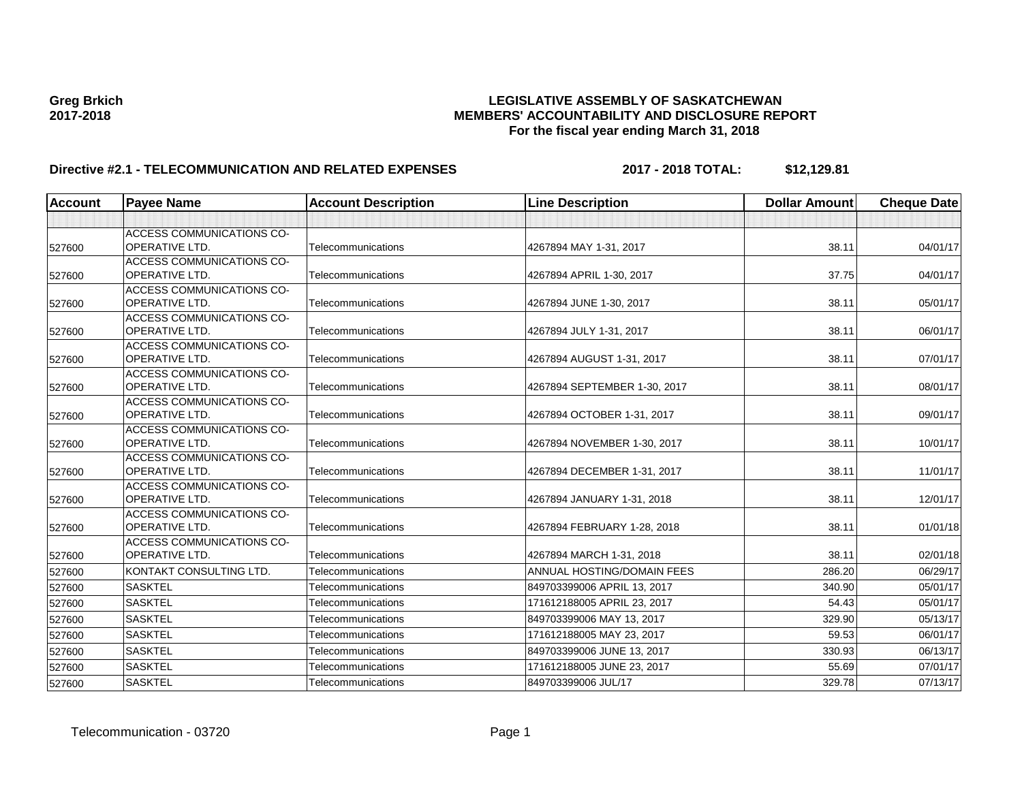# **Greg Brkich LEGISLATIVE ASSEMBLY OF SASKATCHEWAN 2017-2018 MEMBERS' ACCOUNTABILITY AND DISCLOSURE REPORT For the fiscal year ending March 31, 2018**

# **Directive #2.1 - TELECOMMUNICATION AND RELATED EXPENSES 2017 - 2018 TOTAL: \$12,129.81**

| <b>Account</b> | <b>Payee Name</b>                                         | <b>Account Description</b> | <b>Line Description</b>      | <b>Dollar Amount</b> | <b>Cheque Date</b> |
|----------------|-----------------------------------------------------------|----------------------------|------------------------------|----------------------|--------------------|
|                |                                                           |                            |                              |                      |                    |
| 527600         | <b>ACCESS COMMUNICATIONS CO-</b><br><b>OPERATIVE LTD.</b> | Telecommunications         | 4267894 MAY 1-31, 2017       | 38.11                | 04/01/17           |
|                | <b>ACCESS COMMUNICATIONS CO-</b>                          |                            |                              |                      |                    |
| 527600         | <b>OPERATIVE LTD.</b>                                     | Telecommunications         | 4267894 APRIL 1-30, 2017     | 37.75                | 04/01/17           |
| 527600         | <b>ACCESS COMMUNICATIONS CO-</b><br><b>OPERATIVE LTD.</b> | Telecommunications         | 4267894 JUNE 1-30, 2017      | 38.11                | 05/01/17           |
| 527600         | <b>ACCESS COMMUNICATIONS CO-</b><br><b>OPERATIVE LTD.</b> | Telecommunications         | 4267894 JULY 1-31, 2017      | 38.11                | 06/01/17           |
| 527600         | <b>ACCESS COMMUNICATIONS CO-</b><br><b>OPERATIVE LTD.</b> | Telecommunications         | 4267894 AUGUST 1-31, 2017    | 38.11                | 07/01/17           |
| 527600         | <b>ACCESS COMMUNICATIONS CO-</b><br><b>OPERATIVE LTD.</b> | Telecommunications         | 4267894 SEPTEMBER 1-30, 2017 | 38.11                | 08/01/17           |
| 527600         | <b>ACCESS COMMUNICATIONS CO-</b><br><b>OPERATIVE LTD.</b> | Telecommunications         | 4267894 OCTOBER 1-31, 2017   | 38.11                | 09/01/17           |
| 527600         | <b>ACCESS COMMUNICATIONS CO-</b><br>OPERATIVE LTD.        | Telecommunications         | 4267894 NOVEMBER 1-30, 2017  | 38.11                | 10/01/17           |
| 527600         | <b>ACCESS COMMUNICATIONS CO-</b><br><b>OPERATIVE LTD.</b> | Telecommunications         | 4267894 DECEMBER 1-31, 2017  | 38.11                | 11/01/17           |
| 527600         | ACCESS COMMUNICATIONS CO-<br><b>OPERATIVE LTD.</b>        | Telecommunications         | 4267894 JANUARY 1-31, 2018   | 38.11                | 12/01/17           |
| 527600         | <b>ACCESS COMMUNICATIONS CO-</b><br><b>OPERATIVE LTD.</b> | Telecommunications         | 4267894 FEBRUARY 1-28, 2018  | 38.11                | 01/01/18           |
| 527600         | <b>ACCESS COMMUNICATIONS CO-</b><br> OPERATIVE LTD.       | Telecommunications         | 4267894 MARCH 1-31, 2018     | 38.11                | 02/01/18           |
| 527600         | KONTAKT CONSULTING LTD.                                   | Telecommunications         | ANNUAL HOSTING/DOMAIN FEES   | 286.20               | 06/29/17           |
| 527600         | <b>SASKTEL</b>                                            | Telecommunications         | 849703399006 APRIL 13, 2017  | 340.90               | 05/01/17           |
| 527600         | <b>SASKTEL</b>                                            | Telecommunications         | 171612188005 APRIL 23, 2017  | 54.43                | 05/01/17           |
| 527600         | <b>SASKTEL</b>                                            | Telecommunications         | 849703399006 MAY 13, 2017    | 329.90               | 05/13/17           |
| 527600         | <b>SASKTEL</b>                                            | Telecommunications         | 171612188005 MAY 23, 2017    | 59.53                | 06/01/17           |
| 527600         | <b>SASKTEL</b>                                            | Telecommunications         | 849703399006 JUNE 13, 2017   | 330.93               | 06/13/17           |
| 527600         | <b>SASKTEL</b>                                            | Telecommunications         | 171612188005 JUNE 23, 2017   | 55.69                | 07/01/17           |
| 527600         | <b>SASKTEL</b>                                            | Telecommunications         | 849703399006 JUL/17          | 329.78               | 07/13/17           |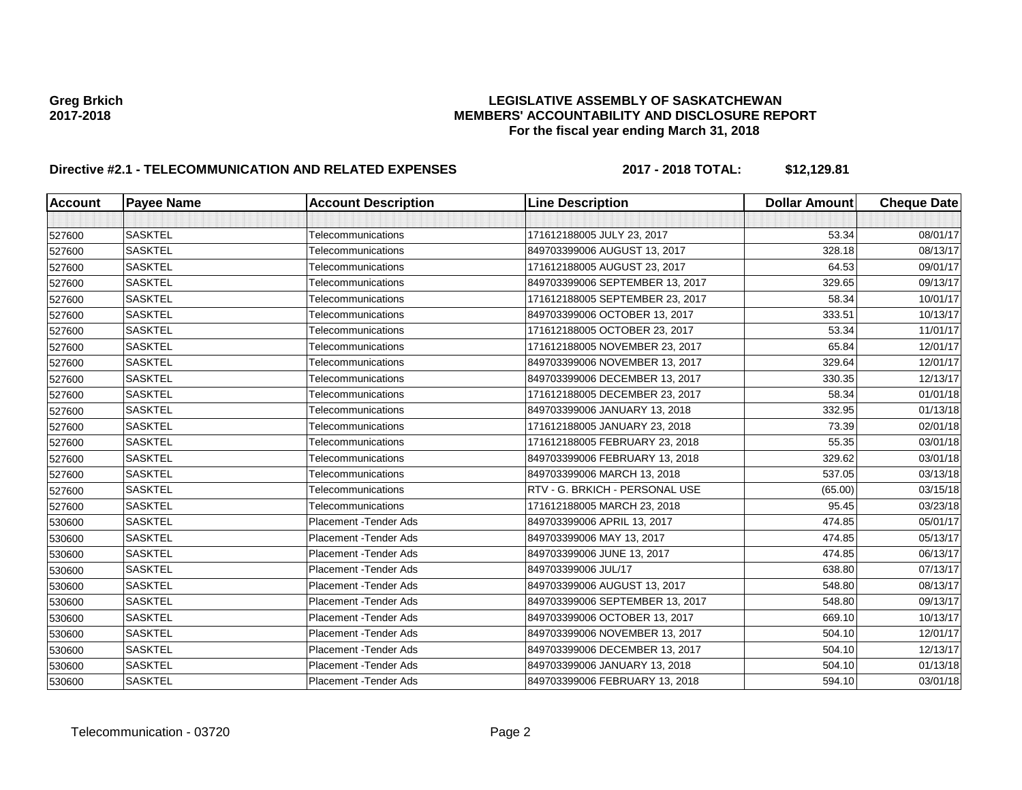# **Greg Brkich LEGISLATIVE ASSEMBLY OF SASKATCHEWAN 2017-2018 MEMBERS' ACCOUNTABILITY AND DISCLOSURE REPORT For the fiscal year ending March 31, 2018**

# **Directive #2.1 - TELECOMMUNICATION AND RELATED EXPENSES 2017 - 2018 TOTAL: \$12,129.81**

| <b>Account</b> | <b>Payee Name</b> | <b>Account Description</b>    | <b>Line Description</b>         | <b>Dollar Amount</b> | <b>Cheque Date</b> |
|----------------|-------------------|-------------------------------|---------------------------------|----------------------|--------------------|
|                |                   |                               |                                 |                      |                    |
| 527600         | <b>SASKTEL</b>    | Telecommunications            | 171612188005 JULY 23, 2017      | 53.34                | 08/01/17           |
| 527600         | <b>SASKTEL</b>    | Telecommunications            | 849703399006 AUGUST 13, 2017    | 328.18               | 08/13/17           |
| 527600         | <b>SASKTEL</b>    | Telecommunications            | 171612188005 AUGUST 23, 2017    | 64.53                | 09/01/17           |
| 527600         | <b>SASKTEL</b>    | Telecommunications            | 849703399006 SEPTEMBER 13, 2017 | 329.65               | 09/13/17           |
| 527600         | <b>SASKTEL</b>    | Telecommunications            | 171612188005 SEPTEMBER 23, 2017 | 58.34                | 10/01/17           |
| 527600         | <b>SASKTEL</b>    | <b>Telecommunications</b>     | 849703399006 OCTOBER 13, 2017   | 333.51               | 10/13/17           |
| 527600         | <b>SASKTEL</b>    | Telecommunications            | 171612188005 OCTOBER 23, 2017   | 53.34                | 11/01/17           |
| 527600         | <b>SASKTEL</b>    | Telecommunications            | 171612188005 NOVEMBER 23, 2017  | 65.84                | 12/01/17           |
| 527600         | <b>SASKTEL</b>    | Telecommunications            | 849703399006 NOVEMBER 13, 2017  | 329.64               | 12/01/17           |
| 527600         | <b>SASKTEL</b>    | Telecommunications            | 849703399006 DECEMBER 13, 2017  | 330.35               | 12/13/17           |
| 527600         | <b>SASKTEL</b>    | Telecommunications            | 171612188005 DECEMBER 23, 2017  | 58.34                | 01/01/18           |
| 527600         | <b>SASKTEL</b>    | Telecommunications            | 849703399006 JANUARY 13, 2018   | 332.95               | 01/13/18           |
| 527600         | <b>SASKTEL</b>    | Telecommunications            | 171612188005 JANUARY 23, 2018   | 73.39                | 02/01/18           |
| 527600         | <b>SASKTEL</b>    | Telecommunications            | 171612188005 FEBRUARY 23, 2018  | 55.35                | 03/01/18           |
| 527600         | <b>SASKTEL</b>    | Telecommunications            | 849703399006 FEBRUARY 13, 2018  | 329.62               | 03/01/18           |
| 527600         | <b>SASKTEL</b>    | Telecommunications            | 849703399006 MARCH 13, 2018     | 537.05               | 03/13/18           |
| 527600         | <b>SASKTEL</b>    | Telecommunications            | RTV - G. BRKICH - PERSONAL USE  | (65.00)              | 03/15/18           |
| 527600         | <b>SASKTEL</b>    | Telecommunications            | 171612188005 MARCH 23, 2018     | 95.45                | 03/23/18           |
| 530600         | <b>SASKTEL</b>    | <b>Placement - Tender Ads</b> | 849703399006 APRIL 13, 2017     | 474.85               | 05/01/17           |
| 530600         | <b>SASKTEL</b>    | <b>Placement - Tender Ads</b> | 849703399006 MAY 13, 2017       | 474.85               | 05/13/17           |
| 530600         | <b>SASKTEL</b>    | <b>Placement - Tender Ads</b> | 849703399006 JUNE 13, 2017      | 474.85               | 06/13/17           |
| 530600         | <b>SASKTEL</b>    | <b>Placement - Tender Ads</b> | 849703399006 JUL/17             | 638.80               | 07/13/17           |
| 530600         | <b>SASKTEL</b>    | Placement - Tender Ads        | 849703399006 AUGUST 13, 2017    | 548.80               | 08/13/17           |
| 530600         | <b>SASKTEL</b>    | <b>Placement - Tender Ads</b> | 849703399006 SEPTEMBER 13, 2017 | 548.80               | 09/13/17           |
| 530600         | <b>SASKTEL</b>    | <b>Placement - Tender Ads</b> | 849703399006 OCTOBER 13, 2017   | 669.10               | 10/13/17           |
| 530600         | <b>SASKTEL</b>    | <b>Placement - Tender Ads</b> | 849703399006 NOVEMBER 13, 2017  | 504.10               | 12/01/17           |
| 530600         | <b>SASKTEL</b>    | <b>Placement - Tender Ads</b> | 849703399006 DECEMBER 13, 2017  | 504.10               | 12/13/17           |
| 530600         | <b>SASKTEL</b>    | Placement - Tender Ads        | 849703399006 JANUARY 13, 2018   | 504.10               | 01/13/18           |
| 530600         | <b>SASKTEL</b>    | Placement - Tender Ads        | 849703399006 FEBRUARY 13, 2018  | 594.10               | 03/01/18           |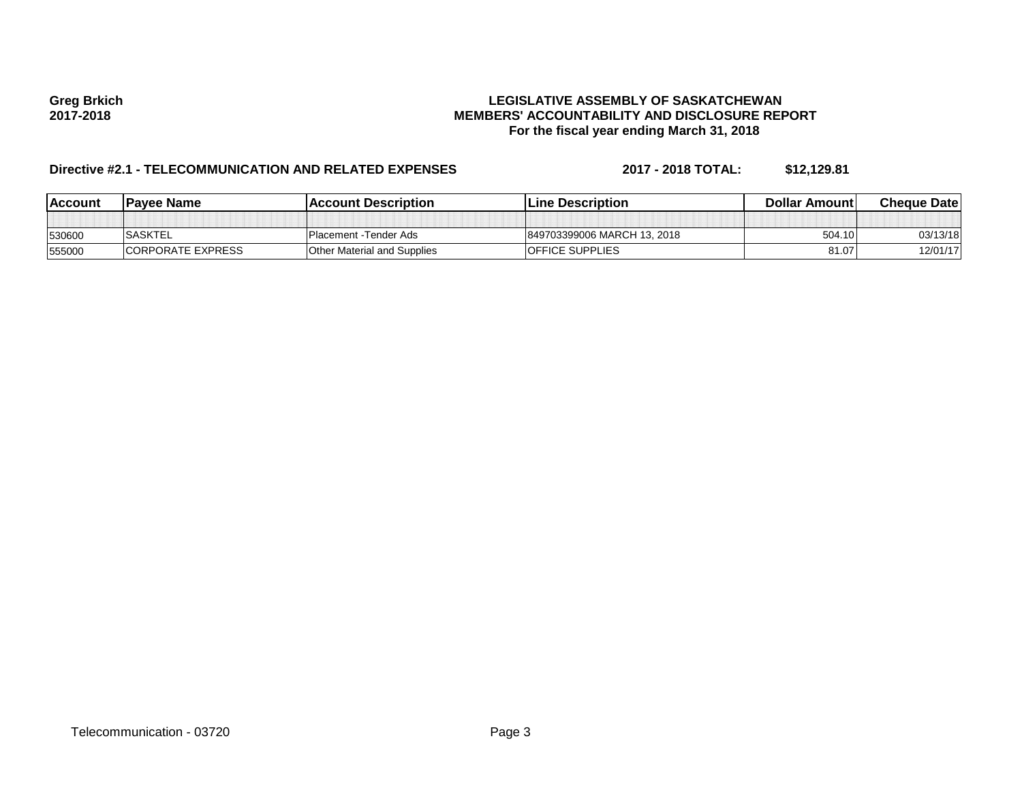# **Greg Brkich LEGISLATIVE ASSEMBLY OF SASKATCHEWAN 2017-2018 MEMBERS' ACCOUNTABILITY AND DISCLOSURE REPORT For the fiscal year ending March 31, 2018**

# **Directive #2.1 - TELECOMMUNICATION AND RELATED EXPENSES 2017 - 2018 TOTAL: \$12,129.81**

| <u>IAccount</u> | <b>Pavee Name</b>  | lAccount Description               | <b>ILine Description</b>    | Dollar Amountl | <b>Cheque Datel</b> |
|-----------------|--------------------|------------------------------------|-----------------------------|----------------|---------------------|
|                 |                    |                                    |                             |                |                     |
| 530600          | <b>SASKTEL</b>     | I Placement - Tender Ads           | 849703399006 MARCH 13, 2018 | 504.10         | 03/13/18            |
| 555000          | ICORPORATE EXPRESS | <b>Other Material and Supplies</b> | <b>IOFFICE SUPPLIES</b>     | 81.07          | 12/01/17            |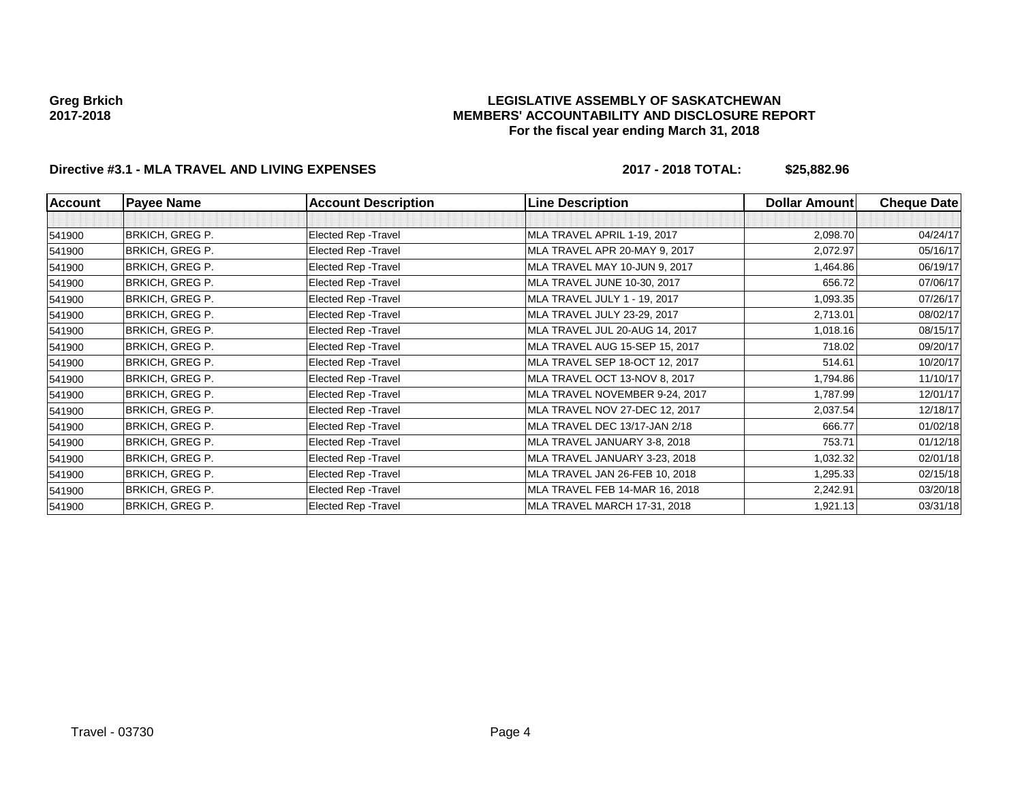### **LEGISLATIVE ASSEMBLY OF SASKATCHEWAN MEMBERS' ACCOUNTABILITY AND DISCLOSURE REPORT For the fiscal year ending March 31, 2018**

# **Directive #3.1 - MLA TRAVEL AND LIVING EXPENSES 2017 - 2018 TOTAL: \$25,882.96**

| Account | <b>Payee Name</b>      | <b>Account Description</b> | <b>Line Description</b>        | <b>Dollar Amount</b> | <b>Cheque Date</b> |
|---------|------------------------|----------------------------|--------------------------------|----------------------|--------------------|
|         |                        |                            |                                |                      |                    |
| 541900  | <b>BRKICH, GREG P.</b> | Elected Rep - Travel       | MLA TRAVEL APRIL 1-19, 2017    | 2,098.70             | 04/24/17           |
| 541900  | <b>BRKICH, GREG P.</b> | Elected Rep - Travel       | MLA TRAVEL APR 20-MAY 9, 2017  | 2,072.97             | 05/16/17           |
| 541900  | <b>BRKICH, GREG P.</b> | Elected Rep - Travel       | MLA TRAVEL MAY 10-JUN 9, 2017  | 1,464.86             | 06/19/17           |
| 541900  | BRKICH, GREG P.        | Elected Rep - Travel       | MLA TRAVEL JUNE 10-30, 2017    | 656.72               | 07/06/17           |
| 541900  | <b>BRKICH, GREG P.</b> | Elected Rep - Travel       | MLA TRAVEL JULY 1 - 19, 2017   | 1,093.35             | 07/26/17           |
| 541900  | BRKICH, GREG P.        | Elected Rep - Travel       | MLA TRAVEL JULY 23-29, 2017    | 2,713.01             | 08/02/17           |
| 541900  | <b>BRKICH, GREG P.</b> | Elected Rep - Travel       | MLA TRAVEL JUL 20-AUG 14, 2017 | 1,018.16             | 08/15/17           |
| 541900  | BRKICH, GREG P.        | Elected Rep - Travel       | MLA TRAVEL AUG 15-SEP 15, 2017 | 718.02               | 09/20/17           |
| 541900  | <b>BRKICH, GREG P.</b> | Elected Rep - Travel       | MLA TRAVEL SEP 18-OCT 12, 2017 | 514.61               | 10/20/17           |
| 541900  | <b>BRKICH, GREG P.</b> | Elected Rep - Travel       | MLA TRAVEL OCT 13-NOV 8, 2017  | 1,794.86             | 11/10/17           |
| 541900  | <b>BRKICH, GREG P.</b> | Elected Rep - Travel       | MLA TRAVEL NOVEMBER 9-24, 2017 | 1,787.99             | 12/01/17           |
| 541900  | <b>BRKICH, GREG P.</b> | Elected Rep - Travel       | MLA TRAVEL NOV 27-DEC 12, 2017 | 2,037.54             | 12/18/17           |
| 541900  | <b>BRKICH, GREG P.</b> | Elected Rep - Travel       | MLA TRAVEL DEC 13/17-JAN 2/18  | 666.77               | 01/02/18           |
| 541900  | <b>BRKICH, GREG P.</b> | Elected Rep - Travel       | MLA TRAVEL JANUARY 3-8, 2018   | 753.71               | 01/12/18           |
| 541900  | <b>BRKICH, GREG P.</b> | Elected Rep - Travel       | MLA TRAVEL JANUARY 3-23, 2018  | 1,032.32             | 02/01/18           |
| 541900  | <b>BRKICH, GREG P.</b> | Elected Rep - Travel       | MLA TRAVEL JAN 26-FEB 10, 2018 | 1,295.33             | 02/15/18           |
| 541900  | BRKICH, GREG P.        | Elected Rep - Travel       | MLA TRAVEL FEB 14-MAR 16, 2018 | 2,242.91             | 03/20/18           |
| 541900  | <b>BRKICH, GREG P.</b> | Elected Rep - Travel       | MLA TRAVEL MARCH 17-31, 2018   | 1,921.13             | 03/31/18           |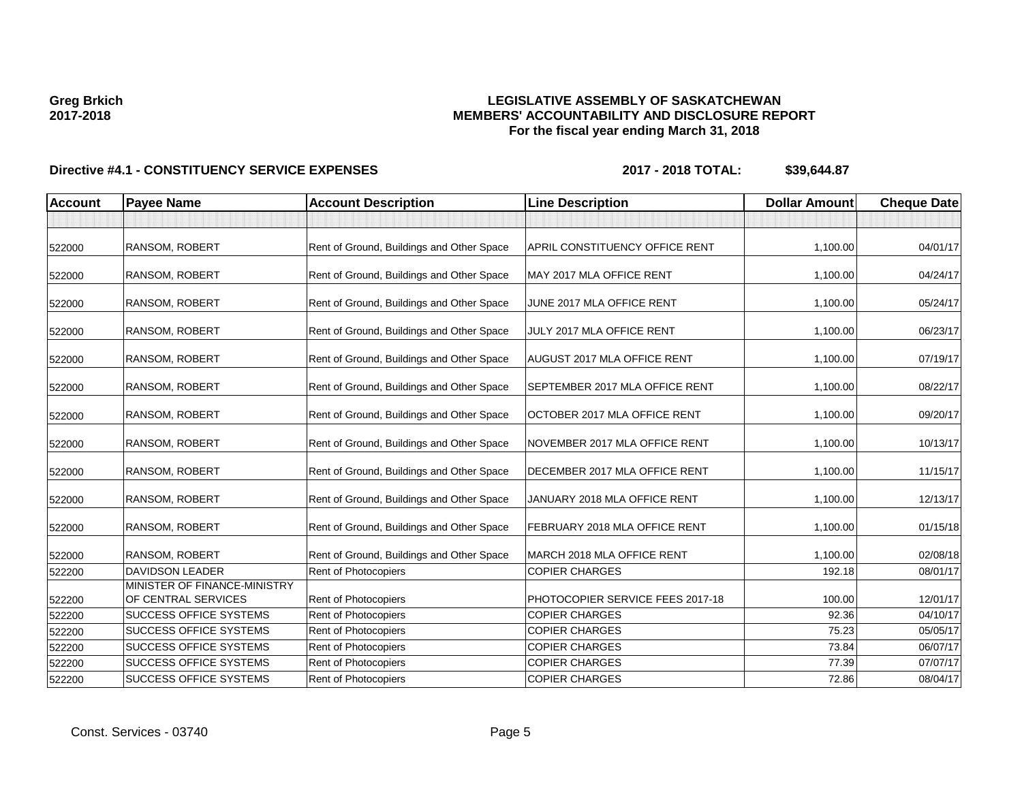### **LEGISLATIVE ASSEMBLY OF SASKATCHEWAN MEMBERS' ACCOUNTABILITY AND DISCLOSURE REPORT For the fiscal year ending March 31, 2018**

| <b>Account</b> | <b>Payee Name</b>                                   | <b>Account Description</b>                | <b>Line Description</b>            | <b>Dollar Amount</b> | <b>Cheque Date</b> |
|----------------|-----------------------------------------------------|-------------------------------------------|------------------------------------|----------------------|--------------------|
|                |                                                     |                                           |                                    |                      |                    |
| 522000         | <b>RANSOM, ROBERT</b>                               | Rent of Ground, Buildings and Other Space | APRIL CONSTITUENCY OFFICE RENT     | 1,100.00             | 04/01/17           |
| 522000         | RANSOM, ROBERT                                      | Rent of Ground, Buildings and Other Space | MAY 2017 MLA OFFICE RENT           | 1,100.00             | 04/24/17           |
| 522000         | RANSOM, ROBERT                                      | Rent of Ground, Buildings and Other Space | JUNE 2017 MLA OFFICE RENT          | 1,100.00             | 05/24/17           |
| 522000         | RANSOM, ROBERT                                      | Rent of Ground, Buildings and Other Space | JULY 2017 MLA OFFICE RENT          | 1,100.00             | 06/23/17           |
| 522000         | RANSOM, ROBERT                                      | Rent of Ground, Buildings and Other Space | <b>AUGUST 2017 MLA OFFICE RENT</b> | 1,100.00             | 07/19/17           |
| 522000         | RANSOM, ROBERT                                      | Rent of Ground, Buildings and Other Space | SEPTEMBER 2017 MLA OFFICE RENT     | 1,100.00             | 08/22/17           |
| 522000         | <b>RANSOM, ROBERT</b>                               | Rent of Ground, Buildings and Other Space | OCTOBER 2017 MLA OFFICE RENT       | 1,100.00             | 09/20/17           |
| 522000         | RANSOM, ROBERT                                      | Rent of Ground, Buildings and Other Space | NOVEMBER 2017 MLA OFFICE RENT      | 1,100.00             | 10/13/17           |
| 522000         | RANSOM, ROBERT                                      | Rent of Ground, Buildings and Other Space | DECEMBER 2017 MLA OFFICE RENT      | 1,100.00             | 11/15/17           |
| 522000         | RANSOM, ROBERT                                      | Rent of Ground, Buildings and Other Space | JANUARY 2018 MLA OFFICE RENT       | 1,100.00             | 12/13/17           |
| 522000         | RANSOM, ROBERT                                      | Rent of Ground, Buildings and Other Space | FEBRUARY 2018 MLA OFFICE RENT      | 1,100.00             | 01/15/18           |
| 522000         | <b>RANSOM, ROBERT</b>                               | Rent of Ground, Buildings and Other Space | MARCH 2018 MLA OFFICE RENT         | 1,100.00             | 02/08/18           |
| 522200         | <b>DAVIDSON LEADER</b>                              | <b>Rent of Photocopiers</b>               | <b>COPIER CHARGES</b>              | 192.18               | 08/01/17           |
| 522200         | MINISTER OF FINANCE-MINISTRY<br>OF CENTRAL SERVICES | Rent of Photocopiers                      | PHOTOCOPIER SERVICE FEES 2017-18   | 100.00               | 12/01/17           |
| 522200         | <b>SUCCESS OFFICE SYSTEMS</b>                       | <b>Rent of Photocopiers</b>               | <b>COPIER CHARGES</b>              | 92.36                | 04/10/17           |
| 522200         | <b>SUCCESS OFFICE SYSTEMS</b>                       | Rent of Photocopiers                      | <b>COPIER CHARGES</b>              | 75.23                | 05/05/17           |
| 522200         | <b>SUCCESS OFFICE SYSTEMS</b>                       | Rent of Photocopiers                      | <b>COPIER CHARGES</b>              | 73.84                | 06/07/17           |
| 522200         | <b>SUCCESS OFFICE SYSTEMS</b>                       | Rent of Photocopiers                      | <b>COPIER CHARGES</b>              | 77.39                | 07/07/17           |
| 522200         | <b>SUCCESS OFFICE SYSTEMS</b>                       | Rent of Photocopiers                      | <b>COPIER CHARGES</b>              | 72.86                | 08/04/17           |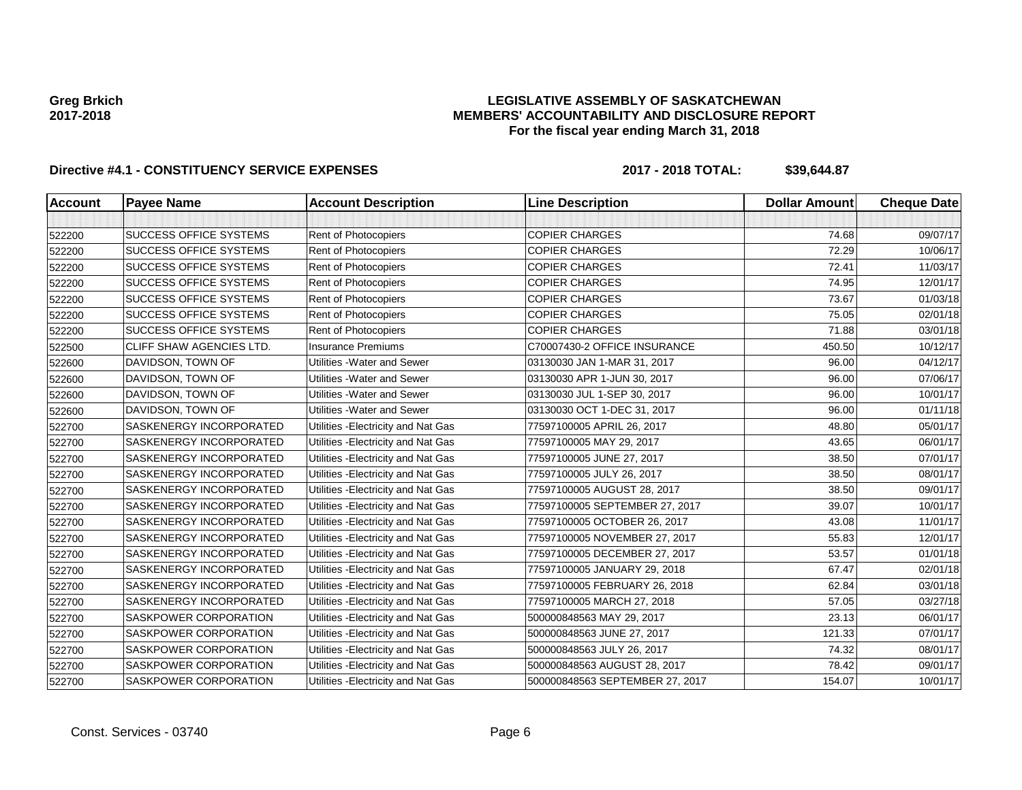### **LEGISLATIVE ASSEMBLY OF SASKATCHEWAN MEMBERS' ACCOUNTABILITY AND DISCLOSURE REPORT For the fiscal year ending March 31, 2018**

| <b>Account</b> | <b>Payee Name</b>              | <b>Account Description</b>          | <b>Line Description</b>         | <b>Dollar Amount</b> | <b>Cheque Date</b> |
|----------------|--------------------------------|-------------------------------------|---------------------------------|----------------------|--------------------|
|                |                                |                                     |                                 |                      |                    |
| 522200         | <b>SUCCESS OFFICE SYSTEMS</b>  | Rent of Photocopiers                | <b>COPIER CHARGES</b>           | 74.68                | 09/07/17           |
| 522200         | <b>SUCCESS OFFICE SYSTEMS</b>  | Rent of Photocopiers                | <b>COPIER CHARGES</b>           | 72.29                | 10/06/17           |
| 522200         | <b>SUCCESS OFFICE SYSTEMS</b>  | Rent of Photocopiers                | <b>COPIER CHARGES</b>           | 72.41                | 11/03/17           |
| 522200         | <b>SUCCESS OFFICE SYSTEMS</b>  | Rent of Photocopiers                | <b>COPIER CHARGES</b>           | 74.95                | 12/01/17           |
| 522200         | <b>SUCCESS OFFICE SYSTEMS</b>  | Rent of Photocopiers                | <b>COPIER CHARGES</b>           | 73.67                | 01/03/18           |
| 522200         | <b>SUCCESS OFFICE SYSTEMS</b>  | Rent of Photocopiers                | <b>COPIER CHARGES</b>           | 75.05                | 02/01/18           |
| 522200         | <b>SUCCESS OFFICE SYSTEMS</b>  | Rent of Photocopiers                | <b>COPIER CHARGES</b>           | 71.88                | 03/01/18           |
| 522500         | CLIFF SHAW AGENCIES LTD.       | <b>Insurance Premiums</b>           | C70007430-2 OFFICE INSURANCE    | 450.50               | 10/12/17           |
| 522600         | DAVIDSON, TOWN OF              | Utilities - Water and Sewer         | 03130030 JAN 1-MAR 31, 2017     | 96.00                | 04/12/17           |
| 522600         | DAVIDSON, TOWN OF              | Utilities - Water and Sewer         | 03130030 APR 1-JUN 30, 2017     | 96.00                | 07/06/17           |
| 522600         | DAVIDSON, TOWN OF              | Utilities - Water and Sewer         | 03130030 JUL 1-SEP 30, 2017     | 96.00                | 10/01/17           |
| 522600         | DAVIDSON, TOWN OF              | Utilities - Water and Sewer         | 03130030 OCT 1-DEC 31, 2017     | 96.00                | 01/11/18           |
| 522700         | SASKENERGY INCORPORATED        | Utilities - Electricity and Nat Gas | 77597100005 APRIL 26, 2017      | 48.80                | 05/01/17           |
| 522700         | SASKENERGY INCORPORATED        | Utilities - Electricity and Nat Gas | 77597100005 MAY 29, 2017        | 43.65                | 06/01/17           |
| 522700         | SASKENERGY INCORPORATED        | Utilities - Electricity and Nat Gas | 77597100005 JUNE 27, 2017       | 38.50                | 07/01/17           |
| 522700         | <b>SASKENERGY INCORPORATED</b> | Utilities - Electricity and Nat Gas | 77597100005 JULY 26, 2017       | 38.50                | 08/01/17           |
| 522700         | <b>SASKENERGY INCORPORATED</b> | Utilities - Electricity and Nat Gas | 77597100005 AUGUST 28, 2017     | 38.50                | 09/01/17           |
| 522700         | <b>SASKENERGY INCORPORATED</b> | Utilities - Electricity and Nat Gas | 77597100005 SEPTEMBER 27, 2017  | 39.07                | 10/01/17           |
| 522700         | SASKENERGY INCORPORATED        | Utilities - Electricity and Nat Gas | 77597100005 OCTOBER 26, 2017    | 43.08                | 11/01/17           |
| 522700         | SASKENERGY INCORPORATED        | Utilities - Electricity and Nat Gas | 77597100005 NOVEMBER 27, 2017   | 55.83                | 12/01/17           |
| 522700         | SASKENERGY INCORPORATED        | Utilities - Electricity and Nat Gas | 77597100005 DECEMBER 27, 2017   | 53.57                | 01/01/18           |
| 522700         | <b>SASKENERGY INCORPORATED</b> | Utilities - Electricity and Nat Gas | 77597100005 JANUARY 29, 2018    | 67.47                | 02/01/18           |
| 522700         | SASKENERGY INCORPORATED        | Utilities - Electricity and Nat Gas | 77597100005 FEBRUARY 26, 2018   | 62.84                | 03/01/18           |
| 522700         | <b>SASKENERGY INCORPORATED</b> | Utilities - Electricity and Nat Gas | 77597100005 MARCH 27, 2018      | 57.05                | 03/27/18           |
| 522700         | <b>SASKPOWER CORPORATION</b>   | Utilities - Electricity and Nat Gas | 500000848563 MAY 29, 2017       | 23.13                | 06/01/17           |
| 522700         | <b>SASKPOWER CORPORATION</b>   | Utilities - Electricity and Nat Gas | 500000848563 JUNE 27, 2017      | 121.33               | 07/01/17           |
| 522700         | SASKPOWER CORPORATION          | Utilities - Electricity and Nat Gas | 500000848563 JULY 26, 2017      | 74.32                | 08/01/17           |
| 522700         | SASKPOWER CORPORATION          | Utilities - Electricity and Nat Gas | 500000848563 AUGUST 28, 2017    | 78.42                | 09/01/17           |
| 522700         | SASKPOWER CORPORATION          | Utilities - Electricity and Nat Gas | 500000848563 SEPTEMBER 27, 2017 | 154.07               | 10/01/17           |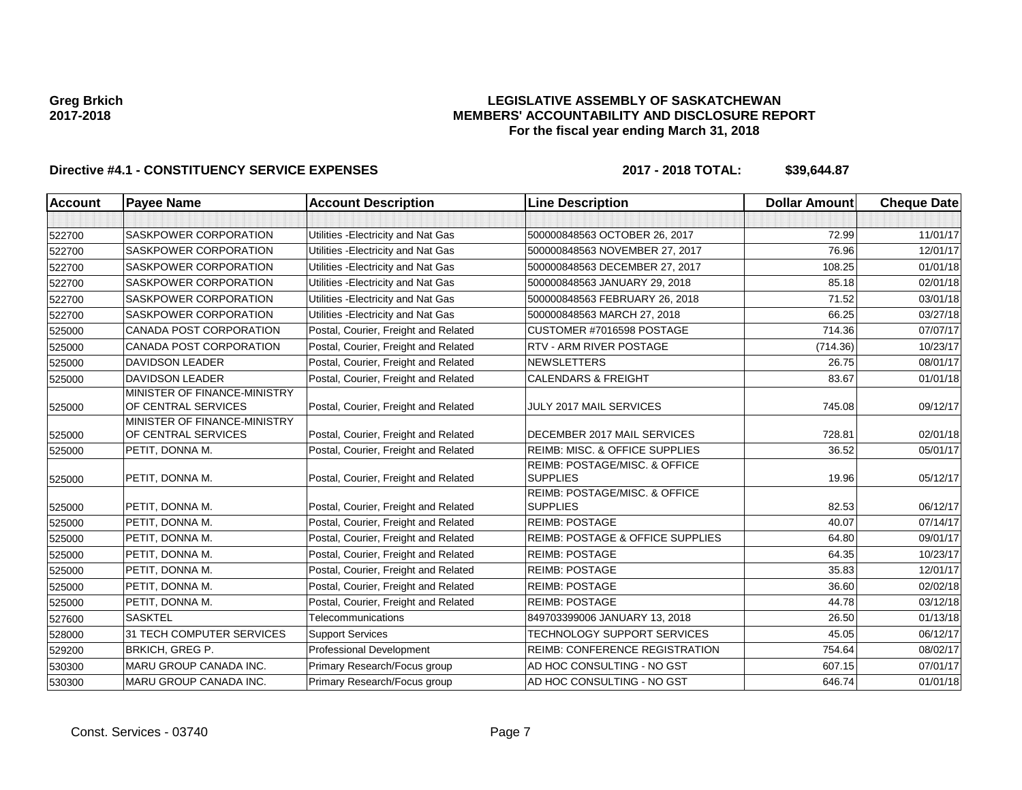### **LEGISLATIVE ASSEMBLY OF SASKATCHEWAN MEMBERS' ACCOUNTABILITY AND DISCLOSURE REPORT For the fiscal year ending March 31, 2018**

| <b>Account</b> | <b>Payee Name</b>                                   | <b>Account Description</b>           | <b>Line Description</b>                          | <b>Dollar Amount</b> | <b>Cheque Date</b> |
|----------------|-----------------------------------------------------|--------------------------------------|--------------------------------------------------|----------------------|--------------------|
|                |                                                     |                                      |                                                  |                      |                    |
| 522700         | <b>SASKPOWER CORPORATION</b>                        | Utilities - Electricity and Nat Gas  | 500000848563 OCTOBER 26, 2017                    | 72.99                | 11/01/17           |
| 522700         | SASKPOWER CORPORATION                               | Utilities - Electricity and Nat Gas  | 500000848563 NOVEMBER 27, 2017                   | 76.96                | 12/01/17           |
| 522700         | <b>SASKPOWER CORPORATION</b>                        | Utilities - Electricity and Nat Gas  | 500000848563 DECEMBER 27, 2017                   | 108.25               | 01/01/18           |
| 522700         | SASKPOWER CORPORATION                               | Utilities - Electricity and Nat Gas  | 500000848563 JANUARY 29, 2018                    | 85.18                | 02/01/18           |
| 522700         | <b>SASKPOWER CORPORATION</b>                        | Utilities - Electricity and Nat Gas  | 500000848563 FEBRUARY 26, 2018                   | 71.52                | 03/01/18           |
| 522700         | <b>SASKPOWER CORPORATION</b>                        | Utilities - Electricity and Nat Gas  | 500000848563 MARCH 27, 2018                      | 66.25                | 03/27/18           |
| 525000         | CANADA POST CORPORATION                             | Postal, Courier, Freight and Related | CUSTOMER #7016598 POSTAGE                        | 714.36               | 07/07/17           |
| 525000         | CANADA POST CORPORATION                             | Postal, Courier, Freight and Related | RTV - ARM RIVER POSTAGE                          | (714.36)             | 10/23/17           |
| 525000         | <b>DAVIDSON LEADER</b>                              | Postal, Courier, Freight and Related | <b>NEWSLETTERS</b>                               | 26.75                | 08/01/17           |
| 525000         | <b>DAVIDSON LEADER</b>                              | Postal, Courier, Freight and Related | <b>CALENDARS &amp; FREIGHT</b>                   | 83.67                | 01/01/18           |
| 525000         | MINISTER OF FINANCE-MINISTRY<br>OF CENTRAL SERVICES | Postal, Courier, Freight and Related | JULY 2017 MAIL SERVICES                          | 745.08               | 09/12/17           |
| 525000         | MINISTER OF FINANCE-MINISTRY<br>OF CENTRAL SERVICES | Postal, Courier, Freight and Related | DECEMBER 2017 MAIL SERVICES                      | 728.81               | 02/01/18           |
| 525000         | PETIT, DONNA M.                                     | Postal, Courier, Freight and Related | <b>REIMB: MISC. &amp; OFFICE SUPPLIES</b>        | 36.52                | 05/01/17           |
| 525000         | PETIT, DONNA M.                                     | Postal, Courier, Freight and Related | REIMB: POSTAGE/MISC. & OFFICE<br><b>SUPPLIES</b> | 19.96                | 05/12/17           |
| 525000         | PETIT, DONNA M.                                     | Postal, Courier, Freight and Related | REIMB: POSTAGE/MISC. & OFFICE<br><b>SUPPLIES</b> | 82.53                | 06/12/17           |
| 525000         | PETIT, DONNA M.                                     | Postal, Courier, Freight and Related | <b>REIMB: POSTAGE</b>                            | 40.07                | 07/14/17           |
| 525000         | PETIT, DONNA M.                                     | Postal, Courier, Freight and Related | <b>REIMB: POSTAGE &amp; OFFICE SUPPLIES</b>      | 64.80                | 09/01/17           |
| 525000         | PETIT, DONNA M.                                     | Postal, Courier, Freight and Related | <b>REIMB: POSTAGE</b>                            | 64.35                | 10/23/17           |
| 525000         | PETIT, DONNA M.                                     | Postal, Courier, Freight and Related | <b>REIMB: POSTAGE</b>                            | 35.83                | 12/01/17           |
| 525000         | PETIT, DONNA M.                                     | Postal, Courier, Freight and Related | <b>REIMB: POSTAGE</b>                            | 36.60                | 02/02/18           |
| 525000         | PETIT, DONNA M.                                     | Postal, Courier, Freight and Related | <b>REIMB: POSTAGE</b>                            | 44.78                | 03/12/18           |
| 527600         | <b>SASKTEL</b>                                      | Telecommunications                   | 849703399006 JANUARY 13, 2018                    | 26.50                | 01/13/18           |
| 528000         | 31 TECH COMPUTER SERVICES                           | <b>Support Services</b>              | TECHNOLOGY SUPPORT SERVICES                      | 45.05                | 06/12/17           |
| 529200         | <b>BRKICH, GREG P.</b>                              | <b>Professional Development</b>      | REIMB: CONFERENCE REGISTRATION                   | 754.64               | 08/02/17           |
| 530300         | <b>MARU GROUP CANADA INC.</b>                       | Primary Research/Focus group         | AD HOC CONSULTING - NO GST                       | 607.15               | 07/01/17           |
| 530300         | <b>MARU GROUP CANADA INC.</b>                       | Primary Research/Focus group         | AD HOC CONSULTING - NO GST                       | 646.74               | 01/01/18           |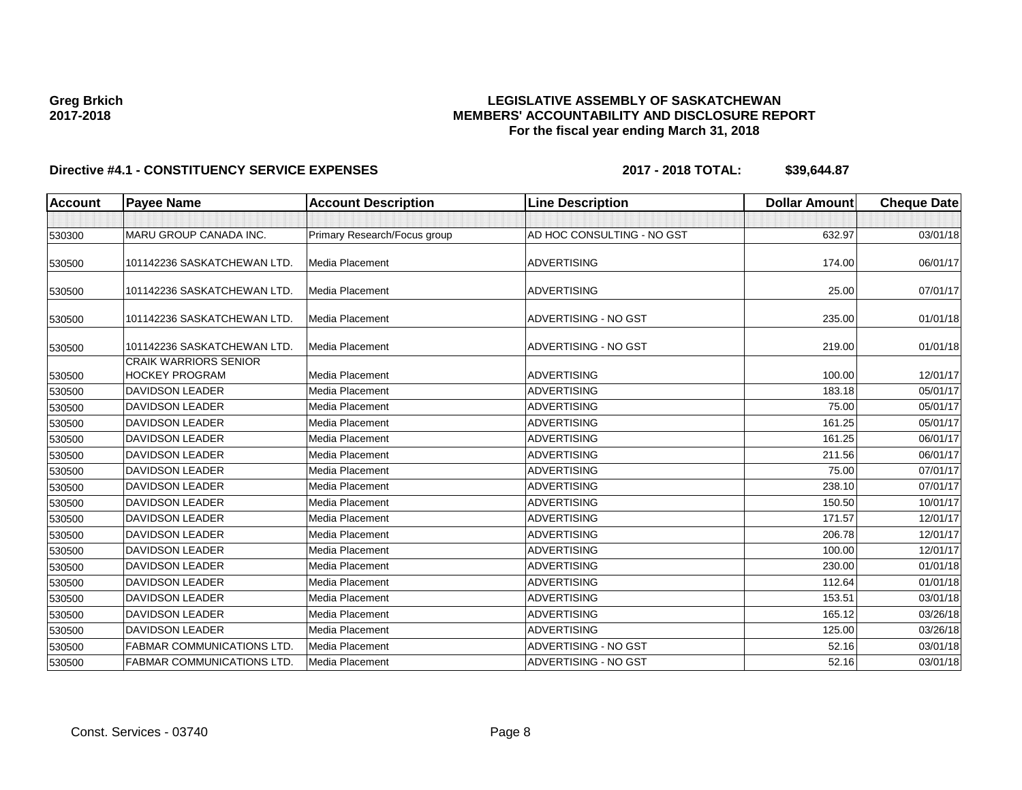### **LEGISLATIVE ASSEMBLY OF SASKATCHEWAN MEMBERS' ACCOUNTABILITY AND DISCLOSURE REPORT For the fiscal year ending March 31, 2018**

| <b>Account</b> | <b>Payee Name</b>                                     | <b>Account Description</b>   | <b>Line Description</b>    | <b>Dollar Amount</b> | <b>Cheque Date</b> |
|----------------|-------------------------------------------------------|------------------------------|----------------------------|----------------------|--------------------|
|                |                                                       |                              |                            |                      |                    |
| 530300         | MARU GROUP CANADA INC.                                | Primary Research/Focus group | AD HOC CONSULTING - NO GST | 632.97               | 03/01/18           |
| 530500         | 101142236 SASKATCHEWAN LTD.                           | Media Placement              | <b>ADVERTISING</b>         | 174.00               | 06/01/17           |
| 530500         | 101142236 SASKATCHEWAN LTD.                           | Media Placement              | <b>ADVERTISING</b>         | 25.00                | 07/01/17           |
| 530500         | 101142236 SASKATCHEWAN LTD.                           | Media Placement              | ADVERTISING - NO GST       | 235.00               | 01/01/18           |
| 530500         | 101142236 SASKATCHEWAN LTD.                           | Media Placement              | ADVERTISING - NO GST       | 219.00               | 01/01/18           |
| 530500         | <b>CRAIK WARRIORS SENIOR</b><br><b>HOCKEY PROGRAM</b> | Media Placement              | <b>ADVERTISING</b>         | 100.00               | 12/01/17           |
| 530500         | <b>DAVIDSON LEADER</b>                                | Media Placement              | <b>ADVERTISING</b>         | 183.18               | 05/01/17           |
| 530500         | <b>DAVIDSON LEADER</b>                                | Media Placement              | <b>ADVERTISING</b>         | 75.00                | 05/01/17           |
| 530500         | <b>DAVIDSON LEADER</b>                                | Media Placement              | <b>ADVERTISING</b>         | 161.25               | 05/01/17           |
| 530500         | <b>DAVIDSON LEADER</b>                                | <b>Media Placement</b>       | <b>ADVERTISING</b>         | 161.25               | 06/01/17           |
| 530500         | <b>DAVIDSON LEADER</b>                                | <b>Media Placement</b>       | <b>ADVERTISING</b>         | 211.56               | 06/01/17           |
| 530500         | <b>DAVIDSON LEADER</b>                                | Media Placement              | <b>ADVERTISING</b>         | 75.00                | 07/01/17           |
| 530500         | <b>DAVIDSON LEADER</b>                                | Media Placement              | <b>ADVERTISING</b>         | 238.10               | 07/01/17           |
| 530500         | <b>DAVIDSON LEADER</b>                                | Media Placement              | <b>ADVERTISING</b>         | 150.50               | 10/01/17           |
| 530500         | <b>DAVIDSON LEADER</b>                                | <b>Media Placement</b>       | <b>ADVERTISING</b>         | 171.57               | 12/01/17           |
| 530500         | <b>DAVIDSON LEADER</b>                                | <b>Media Placement</b>       | <b>ADVERTISING</b>         | 206.78               | 12/01/17           |
| 530500         | <b>DAVIDSON LEADER</b>                                | Media Placement              | <b>ADVERTISING</b>         | 100.00               | 12/01/17           |
| 530500         | <b>DAVIDSON LEADER</b>                                | Media Placement              | <b>ADVERTISING</b>         | 230.00               | 01/01/18           |
| 530500         | <b>DAVIDSON LEADER</b>                                | Media Placement              | <b>ADVERTISING</b>         | 112.64               | 01/01/18           |
| 530500         | <b>DAVIDSON LEADER</b>                                | <b>Media Placement</b>       | <b>ADVERTISING</b>         | 153.51               | 03/01/18           |
| 530500         | <b>DAVIDSON LEADER</b>                                | Media Placement              | <b>ADVERTISING</b>         | 165.12               | 03/26/18           |
| 530500         | <b>DAVIDSON LEADER</b>                                | <b>Media Placement</b>       | <b>ADVERTISING</b>         | 125.00               | 03/26/18           |
| 530500         | <b>FABMAR COMMUNICATIONS LTD</b>                      | Media Placement              | ADVERTISING - NO GST       | 52.16                | 03/01/18           |
| 530500         | <b>FABMAR COMMUNICATIONS LTD.</b>                     | Media Placement              | ADVERTISING - NO GST       | 52.16                | 03/01/18           |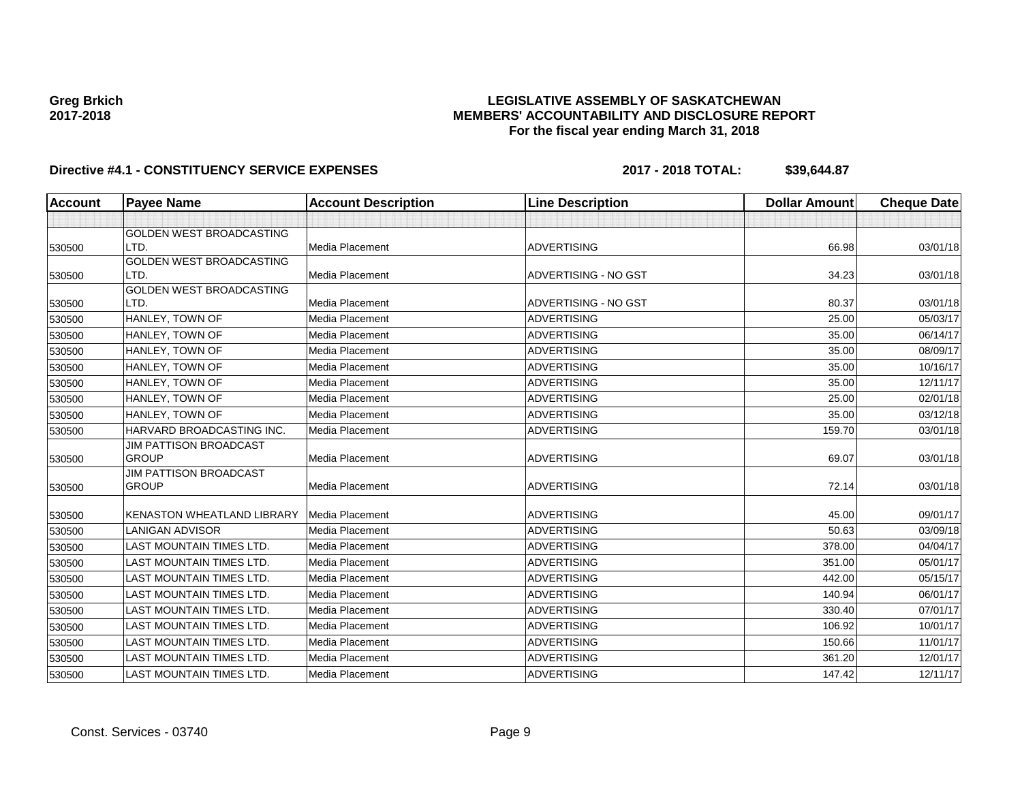### **LEGISLATIVE ASSEMBLY OF SASKATCHEWAN MEMBERS' ACCOUNTABILITY AND DISCLOSURE REPORT For the fiscal year ending March 31, 2018**

| <b>Account</b> | <b>Payee Name</b>               | <b>Account Description</b> | <b>Line Description</b> | <b>Dollar Amount</b> | <b>Cheque Date</b> |
|----------------|---------------------------------|----------------------------|-------------------------|----------------------|--------------------|
|                |                                 |                            |                         |                      |                    |
|                | GOLDEN WEST BROADCASTING        |                            |                         |                      |                    |
| 530500         | LTD.                            | Media Placement            | <b>ADVERTISING</b>      | 66.98                | 03/01/18           |
|                | <b>GOLDEN WEST BROADCASTING</b> |                            |                         |                      |                    |
| 530500         | LTD.                            | Media Placement            | ADVERTISING - NO GST    | 34.23                | 03/01/18           |
|                | <b>GOLDEN WEST BROADCASTING</b> |                            |                         |                      |                    |
| 530500         | LTD.                            | Media Placement            | ADVERTISING - NO GST    | 80.37                | 03/01/18           |
| 530500         | HANLEY, TOWN OF                 | Media Placement            | <b>ADVERTISING</b>      | 25.00                | 05/03/17           |
| 530500         | HANLEY, TOWN OF                 | Media Placement            | <b>ADVERTISING</b>      | 35.00                | 06/14/17           |
| 530500         | HANLEY, TOWN OF                 | Media Placement            | <b>ADVERTISING</b>      | 35.00                | 08/09/17           |
| 530500         | HANLEY, TOWN OF                 | Media Placement            | <b>ADVERTISING</b>      | 35.00                | 10/16/17           |
| 530500         | HANLEY, TOWN OF                 | Media Placement            | <b>ADVERTISING</b>      | 35.00                | 12/11/17           |
| 530500         | HANLEY, TOWN OF                 | Media Placement            | <b>ADVERTISING</b>      | 25.00                | 02/01/18           |
| 530500         | HANLEY, TOWN OF                 | Media Placement            | <b>ADVERTISING</b>      | 35.00                | 03/12/18           |
| 530500         | HARVARD BROADCASTING INC.       | Media Placement            | <b>ADVERTISING</b>      | 159.70               | 03/01/18           |
|                | <b>JIM PATTISON BROADCAST</b>   |                            |                         |                      |                    |
| 530500         | <b>GROUP</b>                    | Media Placement            | <b>ADVERTISING</b>      | 69.07                | 03/01/18           |
|                | <b>JIM PATTISON BROADCAST</b>   |                            |                         |                      |                    |
| 530500         | <b>GROUP</b>                    | Media Placement            | <b>ADVERTISING</b>      | 72.14                | 03/01/18           |
| 530500         | KENASTON WHEATLAND LIBRARY      | <b>Media Placement</b>     | <b>ADVERTISING</b>      | 45.00                | 09/01/17           |
| 530500         | <b>LANIGAN ADVISOR</b>          | Media Placement            | <b>ADVERTISING</b>      | 50.63                | 03/09/18           |
| 530500         | <b>LAST MOUNTAIN TIMES LTD.</b> | Media Placement            | <b>ADVERTISING</b>      | 378.00               | 04/04/17           |
| 530500         | <b>LAST MOUNTAIN TIMES LTD.</b> | Media Placement            | <b>ADVERTISING</b>      | 351.00               | 05/01/17           |
| 530500         | <b>LAST MOUNTAIN TIMES LTD.</b> | Media Placement            | <b>ADVERTISING</b>      | 442.00               | 05/15/17           |
| 530500         | <b>LAST MOUNTAIN TIMES LTD.</b> | Media Placement            | <b>ADVERTISING</b>      | 140.94               | 06/01/17           |
| 530500         | <b>LAST MOUNTAIN TIMES LTD.</b> | Media Placement            | <b>ADVERTISING</b>      | 330.40               | 07/01/17           |
| 530500         | <b>LAST MOUNTAIN TIMES LTD.</b> | Media Placement            | <b>ADVERTISING</b>      | 106.92               | 10/01/17           |
| 530500         | <b>LAST MOUNTAIN TIMES LTD.</b> | Media Placement            | <b>ADVERTISING</b>      | 150.66               | 11/01/17           |
| 530500         | LAST MOUNTAIN TIMES LTD.        | Media Placement            | <b>ADVERTISING</b>      | 361.20               | 12/01/17           |
| 530500         | <b>LAST MOUNTAIN TIMES LTD.</b> | Media Placement            | <b>ADVERTISING</b>      | 147.42               | 12/11/17           |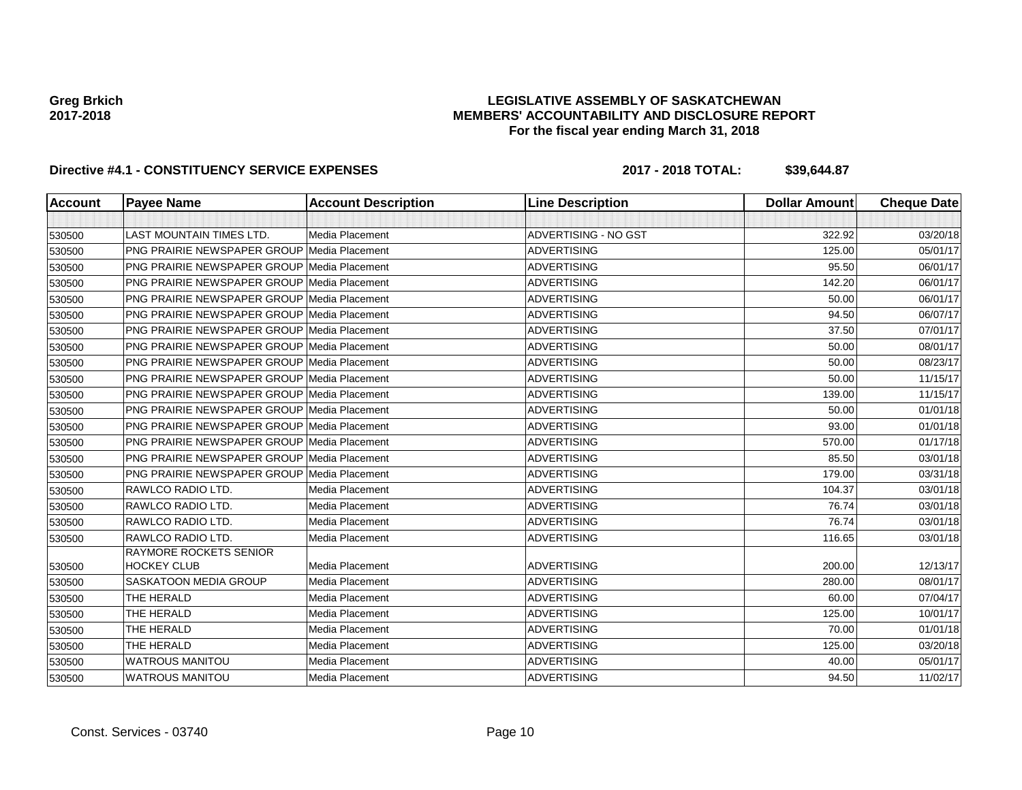### **LEGISLATIVE ASSEMBLY OF SASKATCHEWAN MEMBERS' ACCOUNTABILITY AND DISCLOSURE REPORT For the fiscal year ending March 31, 2018**

| <b>Account</b> | <b>Payee Name</b>                                   | <b>Account Description</b> | <b>Line Description</b> | <b>Dollar Amount</b> | <b>Cheque Date</b> |
|----------------|-----------------------------------------------------|----------------------------|-------------------------|----------------------|--------------------|
|                |                                                     |                            |                         |                      |                    |
| 530500         | <b>LAST MOUNTAIN TIMES LTD.</b>                     | Media Placement            | ADVERTISING - NO GST    | 322.92               | 03/20/18           |
| 530500         | PNG PRAIRIE NEWSPAPER GROUP Media Placement         |                            | <b>ADVERTISING</b>      | 125.00               | 05/01/17           |
| 530500         | <b>PNG PRAIRIE NEWSPAPER GROUP Media Placement</b>  |                            | <b>ADVERTISING</b>      | 95.50                | 06/01/17           |
| 530500         | <b>PNG PRAIRIE NEWSPAPER GROUP Media Placement</b>  |                            | <b>ADVERTISING</b>      | 142.20               | 06/01/17           |
| 530500         | <b>PNG PRAIRIE NEWSPAPER GROUP Media Placement</b>  |                            | <b>ADVERTISING</b>      | 50.00                | 06/01/17           |
| 530500         | <b>PNG PRAIRIE NEWSPAPER GROUP Media Placement</b>  |                            | <b>ADVERTISING</b>      | 94.50                | 06/07/17           |
| 530500         | <b>PNG PRAIRIE NEWSPAPER GROUP Media Placement</b>  |                            | <b>ADVERTISING</b>      | 37.50                | 07/01/17           |
| 530500         | <b>PNG PRAIRIE NEWSPAPER GROUP Media Placement</b>  |                            | <b>ADVERTISING</b>      | 50.00                | 08/01/17           |
| 530500         | <b>PNG PRAIRIE NEWSPAPER GROUP Media Placement</b>  |                            | <b>ADVERTISING</b>      | 50.00                | 08/23/17           |
| 530500         | <b>PNG PRAIRIE NEWSPAPER GROUP Media Placement</b>  |                            | <b>ADVERTISING</b>      | 50.00                | 11/15/17           |
| 530500         | <b>PNG PRAIRIE NEWSPAPER GROUP Media Placement</b>  |                            | <b>ADVERTISING</b>      | 139.00               | 11/15/17           |
| 530500         | <b>PNG PRAIRIE NEWSPAPER GROUP Media Placement</b>  |                            | <b>ADVERTISING</b>      | 50.00                | 01/01/18           |
| 530500         | <b>PNG PRAIRIE NEWSPAPER GROUP Media Placement</b>  |                            | <b>ADVERTISING</b>      | 93.00                | 01/01/18           |
| 530500         | <b>PNG PRAIRIE NEWSPAPER GROUP Media Placement</b>  |                            | <b>ADVERTISING</b>      | 570.00               | 01/17/18           |
| 530500         | <b>PNG PRAIRIE NEWSPAPER GROUP Media Placement</b>  |                            | <b>ADVERTISING</b>      | 85.50                | 03/01/18           |
| 530500         | <b>PNG PRAIRIE NEWSPAPER GROUP Media Placement</b>  |                            | <b>ADVERTISING</b>      | 179.00               | 03/31/18           |
| 530500         | RAWLCO RADIO LTD.                                   | <b>Media Placement</b>     | <b>ADVERTISING</b>      | 104.37               | 03/01/18           |
| 530500         | RAWLCO RADIO LTD.                                   | Media Placement            | <b>ADVERTISING</b>      | 76.74                | 03/01/18           |
| 530500         | RAWLCO RADIO LTD.                                   | Media Placement            | <b>ADVERTISING</b>      | 76.74                | 03/01/18           |
| 530500         | RAWLCO RADIO LTD.                                   | Media Placement            | <b>ADVERTISING</b>      | 116.65               | 03/01/18           |
| 530500         | <b>RAYMORE ROCKETS SENIOR</b><br><b>HOCKEY CLUB</b> | Media Placement            | <b>ADVERTISING</b>      | 200.00               | 12/13/17           |
| 530500         | SASKATOON MEDIA GROUP                               | Media Placement            | <b>ADVERTISING</b>      | 280.00               | 08/01/17           |
| 530500         | THE HERALD                                          | Media Placement            | <b>ADVERTISING</b>      | 60.00                | 07/04/17           |
| 530500         | THE HERALD                                          | Media Placement            | <b>ADVERTISING</b>      | 125.00               | 10/01/17           |
| 530500         | THE HERALD                                          | Media Placement            | <b>ADVERTISING</b>      | 70.00                | 01/01/18           |
| 530500         | THE HERALD                                          | Media Placement            | <b>ADVERTISING</b>      | 125.00               | 03/20/18           |
| 530500         | <b>WATROUS MANITOU</b>                              | Media Placement            | <b>ADVERTISING</b>      | 40.00                | 05/01/17           |
| 530500         | <b>WATROUS MANITOU</b>                              | Media Placement            | <b>ADVERTISING</b>      | 94.50                | 11/02/17           |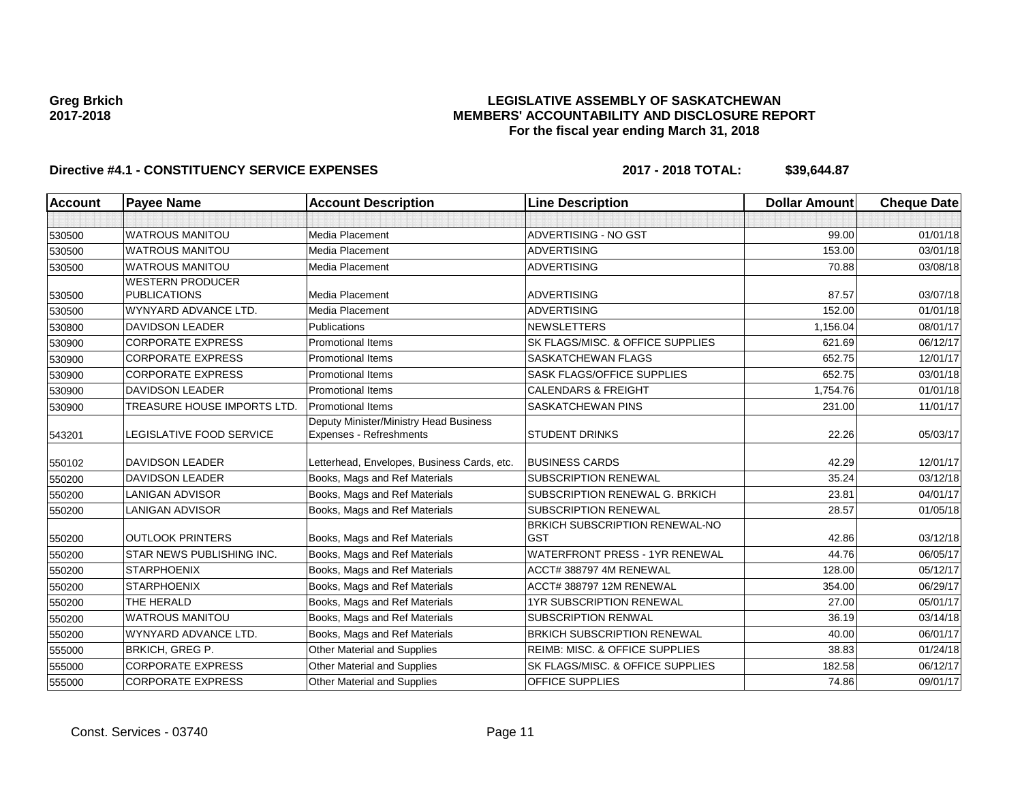### **LEGISLATIVE ASSEMBLY OF SASKATCHEWAN MEMBERS' ACCOUNTABILITY AND DISCLOSURE REPORT For the fiscal year ending March 31, 2018**

| <b>Account</b> | <b>Payee Name</b>           | <b>Account Description</b>                                        | <b>Line Description</b>                      | <b>Dollar Amount</b> | <b>Cheque Date</b> |
|----------------|-----------------------------|-------------------------------------------------------------------|----------------------------------------------|----------------------|--------------------|
|                |                             |                                                                   |                                              |                      |                    |
| 530500         | <b>WATROUS MANITOU</b>      | Media Placement                                                   | ADVERTISING - NO GST                         | 99.00                | 01/01/18           |
| 530500         | <b>WATROUS MANITOU</b>      | Media Placement                                                   | <b>ADVERTISING</b>                           | 153.00               | 03/01/18           |
| 530500         | <b>WATROUS MANITOU</b>      | Media Placement                                                   | <b>ADVERTISING</b>                           | 70.88                | 03/08/18           |
|                | <b>WESTERN PRODUCER</b>     |                                                                   |                                              |                      |                    |
| 530500         | <b>PUBLICATIONS</b>         | Media Placement                                                   | <b>ADVERTISING</b>                           | 87.57                | 03/07/18           |
| 530500         | WYNYARD ADVANCE LTD.        | Media Placement                                                   | <b>ADVERTISING</b>                           | 152.00               | 01/01/18           |
| 530800         | <b>DAVIDSON LEADER</b>      | Publications                                                      | <b>NEWSLETTERS</b>                           | 1,156.04             | 08/01/17           |
| 530900         | <b>CORPORATE EXPRESS</b>    | <b>Promotional Items</b>                                          | SK FLAGS/MISC, & OFFICE SUPPLIES             | 621.69               | 06/12/17           |
| 530900         | <b>CORPORATE EXPRESS</b>    | <b>Promotional Items</b>                                          | <b>SASKATCHEWAN FLAGS</b>                    | 652.75               | 12/01/17           |
| 530900         | <b>CORPORATE EXPRESS</b>    | <b>Promotional Items</b>                                          | <b>SASK FLAGS/OFFICE SUPPLIES</b>            | 652.75               | 03/01/18           |
| 530900         | <b>DAVIDSON LEADER</b>      | <b>Promotional Items</b>                                          | <b>CALENDARS &amp; FREIGHT</b>               | 1,754.76             | 01/01/18           |
| 530900         | TREASURE HOUSE IMPORTS LTD. | <b>Promotional Items</b>                                          | SASKATCHEWAN PINS                            | 231.00               | 11/01/17           |
| 543201         | LEGISLATIVE FOOD SERVICE    | Deputy Minister/Ministry Head Business<br>Expenses - Refreshments | <b>STUDENT DRINKS</b>                        | 22.26                | 05/03/17           |
| 550102         | <b>DAVIDSON LEADER</b>      | Letterhead, Envelopes, Business Cards, etc.                       | <b>BUSINESS CARDS</b>                        | 42.29                | 12/01/17           |
| 550200         | <b>DAVIDSON LEADER</b>      | Books, Mags and Ref Materials                                     | <b>SUBSCRIPTION RENEWAL</b>                  | 35.24                | 03/12/18           |
| 550200         | <b>LANIGAN ADVISOR</b>      | Books, Mags and Ref Materials                                     | SUBSCRIPTION RENEWAL G. BRKICH               | 23.81                | 04/01/17           |
| 550200         | <b>LANIGAN ADVISOR</b>      | Books, Mags and Ref Materials                                     | SUBSCRIPTION RENEWAL                         | 28.57                | 01/05/18           |
| 550200         | <b>OUTLOOK PRINTERS</b>     | Books, Mags and Ref Materials                                     | BRKICH SUBSCRIPTION RENEWAL-NO<br><b>GST</b> | 42.86                | 03/12/18           |
| 550200         | STAR NEWS PUBLISHING INC.   | Books, Mags and Ref Materials                                     | WATERFRONT PRESS - 1YR RENEWAL               | 44.76                | 06/05/17           |
| 550200         | <b>STARPHOENIX</b>          | Books, Mags and Ref Materials                                     | ACCT# 388797 4M RENEWAL                      | 128.00               | 05/12/17           |
| 550200         | <b>STARPHOENIX</b>          | Books, Mags and Ref Materials                                     | ACCT# 388797 12M RENEWAL                     | 354.00               | 06/29/17           |
| 550200         | THE HERALD                  | Books, Mags and Ref Materials                                     | <b>1YR SUBSCRIPTION RENEWAL</b>              | 27.00                | 05/01/17           |
| 550200         | <b>WATROUS MANITOU</b>      | Books, Mags and Ref Materials                                     | <b>SUBSCRIPTION RENWAL</b>                   | 36.19                | 03/14/18           |
| 550200         | WYNYARD ADVANCE LTD.        | Books, Mags and Ref Materials                                     | <b>BRKICH SUBSCRIPTION RENEWAL</b>           | 40.00                | 06/01/17           |
| 555000         | <b>BRKICH, GREG P.</b>      | Other Material and Supplies                                       | REIMB: MISC. & OFFICE SUPPLIES               | 38.83                | 01/24/18           |
| 555000         | <b>CORPORATE EXPRESS</b>    | Other Material and Supplies                                       | SK FLAGS/MISC, & OFFICE SUPPLIES             | 182.58               | 06/12/17           |
| 555000         | <b>CORPORATE EXPRESS</b>    | Other Material and Supplies                                       | OFFICE SUPPLIES                              | 74.86                | 09/01/17           |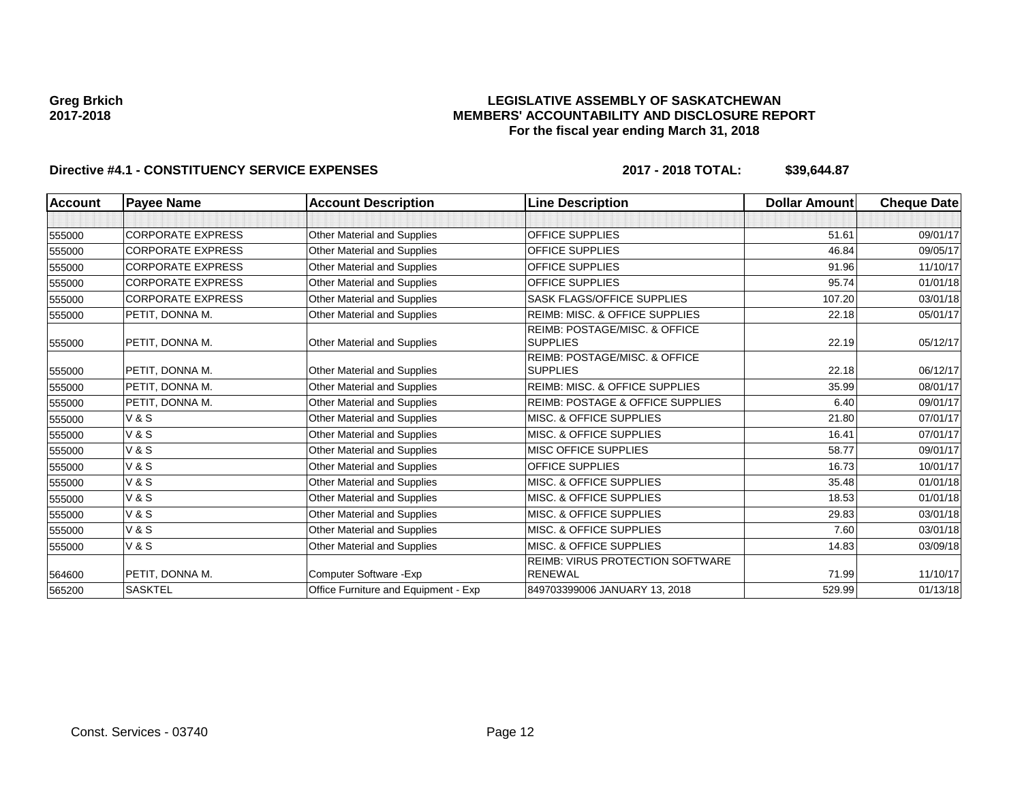### **LEGISLATIVE ASSEMBLY OF SASKATCHEWAN MEMBERS' ACCOUNTABILITY AND DISCLOSURE REPORT For the fiscal year ending March 31, 2018**

| <b>Account</b> | <b>Payee Name</b>        | <b>Account Description</b>           | <b>Line Description</b>                     | <b>Dollar Amount</b> | <b>Cheque Date</b> |
|----------------|--------------------------|--------------------------------------|---------------------------------------------|----------------------|--------------------|
|                |                          |                                      |                                             |                      |                    |
| 555000         | <b>CORPORATE EXPRESS</b> | Other Material and Supplies          | <b>OFFICE SUPPLIES</b>                      | 51.61                | 09/01/17           |
| 555000         | <b>CORPORATE EXPRESS</b> | <b>Other Material and Supplies</b>   | <b>OFFICE SUPPLIES</b>                      | 46.84                | 09/05/17           |
| 555000         | <b>CORPORATE EXPRESS</b> | Other Material and Supplies          | <b>OFFICE SUPPLIES</b>                      | 91.96                | 11/10/17           |
| 555000         | <b>CORPORATE EXPRESS</b> | <b>Other Material and Supplies</b>   | <b>OFFICE SUPPLIES</b>                      | 95.74                | 01/01/18           |
| 555000         | <b>CORPORATE EXPRESS</b> | <b>Other Material and Supplies</b>   | SASK FLAGS/OFFICE SUPPLIES                  | 107.20               | 03/01/18           |
| 555000         | PETIT, DONNA M.          | Other Material and Supplies          | <b>REIMB: MISC. &amp; OFFICE SUPPLIES</b>   | 22.18                | 05/01/17           |
|                |                          |                                      | <b>REIMB: POSTAGE/MISC, &amp; OFFICE</b>    |                      |                    |
| 555000         | PETIT, DONNA M.          | Other Material and Supplies          | <b>SUPPLIES</b>                             | 22.19                | 05/12/17           |
|                |                          |                                      | <b>REIMB: POSTAGE/MISC, &amp; OFFICE</b>    |                      |                    |
| 555000         | PETIT, DONNA M.          | <b>Other Material and Supplies</b>   | <b>SUPPLIES</b>                             | 22.18                | 06/12/17           |
| 555000         | PETIT, DONNA M.          | <b>Other Material and Supplies</b>   | <b>REIMB: MISC. &amp; OFFICE SUPPLIES</b>   | 35.99                | 08/01/17           |
| 555000         | PETIT, DONNA M.          | Other Material and Supplies          | <b>REIMB: POSTAGE &amp; OFFICE SUPPLIES</b> | 6.40                 | 09/01/17           |
| 555000         | <b>V&amp;S</b>           | <b>Other Material and Supplies</b>   | MISC. & OFFICE SUPPLIES                     | 21.80                | 07/01/17           |
| 555000         | <b>V&amp;S</b>           | <b>Other Material and Supplies</b>   | <b>MISC. &amp; OFFICE SUPPLIES</b>          | 16.41                | 07/01/17           |
| 555000         | <b>V&amp;S</b>           | <b>Other Material and Supplies</b>   | <b>MISC OFFICE SUPPLIES</b>                 | 58.77                | 09/01/17           |
| 555000         | <b>V&amp;S</b>           | <b>Other Material and Supplies</b>   | <b>OFFICE SUPPLIES</b>                      | 16.73                | 10/01/17           |
| 555000         | <b>V&amp;S</b>           | <b>Other Material and Supplies</b>   | MISC. & OFFICE SUPPLIES                     | 35.48                | 01/01/18           |
| 555000         | <b>V&amp;S</b>           | <b>Other Material and Supplies</b>   | MISC. & OFFICE SUPPLIES                     | 18.53                | 01/01/18           |
| 555000         | <b>V&amp;S</b>           | <b>Other Material and Supplies</b>   | MISC. & OFFICE SUPPLIES                     | 29.83                | 03/01/18           |
| 555000         | <b>V&amp;S</b>           | Other Material and Supplies          | MISC. & OFFICE SUPPLIES                     | 7.60                 | 03/01/18           |
| 555000         | <b>V&amp;S</b>           | <b>Other Material and Supplies</b>   | MISC. & OFFICE SUPPLIES                     | 14.83                | 03/09/18           |
|                |                          |                                      | REIMB: VIRUS PROTECTION SOFTWARE            |                      |                    |
| 564600         | PETIT, DONNA M.          | Computer Software - Exp              | <b>RENEWAL</b>                              | 71.99                | 11/10/17           |
| 565200         | <b>SASKTEL</b>           | Office Furniture and Equipment - Exp | 849703399006 JANUARY 13, 2018               | 529.99               | 01/13/18           |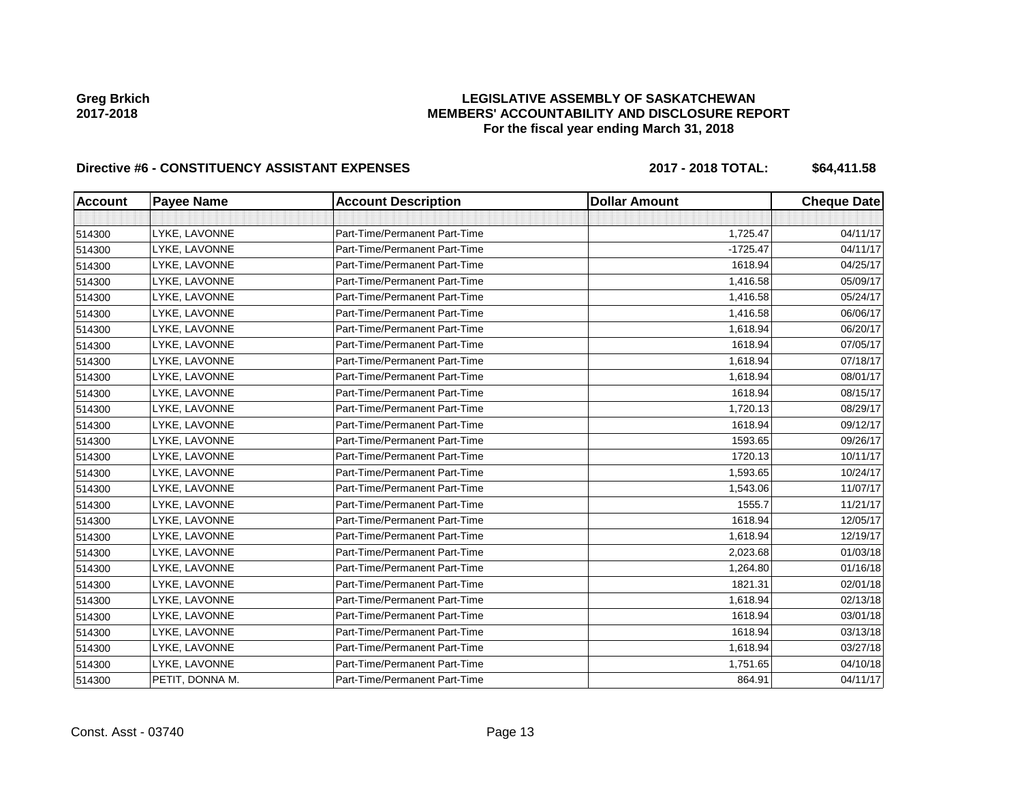### **LEGISLATIVE ASSEMBLY OF SASKATCHEWAN MEMBERS' ACCOUNTABILITY AND DISCLOSURE REPORT For the fiscal year ending March 31, 2018**

# Directive #6 - CONSTITUENCY ASSISTANT EXPENSES 2017 - 2018 TOTAL: \$64,411.58

| <b>Account</b> | <b>Payee Name</b> | <b>Account Description</b>    | <b>Dollar Amount</b> | <b>Cheque Date</b> |
|----------------|-------------------|-------------------------------|----------------------|--------------------|
|                |                   |                               |                      |                    |
| 514300         | LYKE, LAVONNE     | Part-Time/Permanent Part-Time | 1,725.47             | 04/11/17           |
| 514300         | LYKE, LAVONNE     | Part-Time/Permanent Part-Time | $-1725.47$           | 04/11/17           |
| 514300         | LYKE, LAVONNE     | Part-Time/Permanent Part-Time | 1618.94              | 04/25/17           |
| 514300         | LYKE, LAVONNE     | Part-Time/Permanent Part-Time | 1,416.58             | 05/09/17           |
| 514300         | LYKE, LAVONNE     | Part-Time/Permanent Part-Time | 1,416.58             | 05/24/17           |
| 514300         | LYKE, LAVONNE     | Part-Time/Permanent Part-Time | 1,416.58             | 06/06/17           |
| 514300         | LYKE, LAVONNE     | Part-Time/Permanent Part-Time | 1,618.94             | 06/20/17           |
| 514300         | LYKE, LAVONNE     | Part-Time/Permanent Part-Time | 1618.94              | 07/05/17           |
| 514300         | LYKE, LAVONNE     | Part-Time/Permanent Part-Time | 1,618.94             | 07/18/17           |
| 514300         | LYKE, LAVONNE     | Part-Time/Permanent Part-Time | 1,618.94             | 08/01/17           |
| 514300         | LYKE, LAVONNE     | Part-Time/Permanent Part-Time | 1618.94              | 08/15/17           |
| 514300         | LYKE, LAVONNE     | Part-Time/Permanent Part-Time | 1,720.13             | 08/29/17           |
| 514300         | LYKE, LAVONNE     | Part-Time/Permanent Part-Time | 1618.94              | 09/12/17           |
| 514300         | LYKE, LAVONNE     | Part-Time/Permanent Part-Time | 1593.65              | 09/26/17           |
| 514300         | LYKE, LAVONNE     | Part-Time/Permanent Part-Time | 1720.13              | 10/11/17           |
| 514300         | LYKE, LAVONNE     | Part-Time/Permanent Part-Time | 1,593.65             | 10/24/17           |
| 514300         | LYKE, LAVONNE     | Part-Time/Permanent Part-Time | 1,543.06             | 11/07/17           |
| 514300         | LYKE, LAVONNE     | Part-Time/Permanent Part-Time | 1555.7               | 11/21/17           |
| 514300         | LYKE, LAVONNE     | Part-Time/Permanent Part-Time | 1618.94              | 12/05/17           |
| 514300         | LYKE, LAVONNE     | Part-Time/Permanent Part-Time | 1,618.94             | 12/19/17           |
| 514300         | LYKE, LAVONNE     | Part-Time/Permanent Part-Time | 2,023.68             | 01/03/18           |
| 514300         | LYKE, LAVONNE     | Part-Time/Permanent Part-Time | 1,264.80             | 01/16/18           |
| 514300         | LYKE, LAVONNE     | Part-Time/Permanent Part-Time | 1821.31              | 02/01/18           |
| 514300         | LYKE, LAVONNE     | Part-Time/Permanent Part-Time | 1,618.94             | 02/13/18           |
| 514300         | LYKE, LAVONNE     | Part-Time/Permanent Part-Time | 1618.94              | 03/01/18           |
| 514300         | LYKE, LAVONNE     | Part-Time/Permanent Part-Time | 1618.94              | 03/13/18           |
| 514300         | LYKE, LAVONNE     | Part-Time/Permanent Part-Time | 1,618.94             | 03/27/18           |
| 514300         | LYKE, LAVONNE     | Part-Time/Permanent Part-Time | 1,751.65             | 04/10/18           |
| 514300         | PETIT, DONNA M.   | Part-Time/Permanent Part-Time | 864.91               | 04/11/17           |